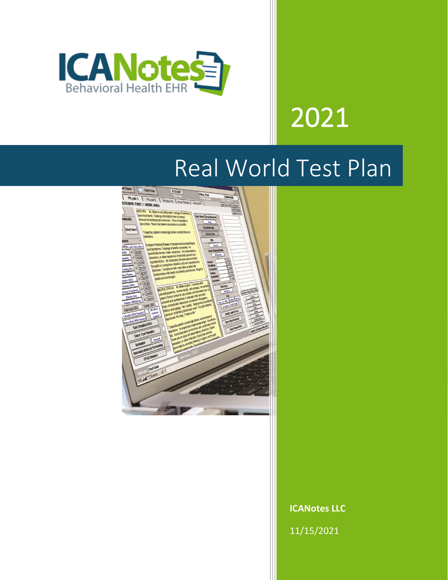

# 2021

# Real World Test Plan



**ICANotes LLC**

11/15/2021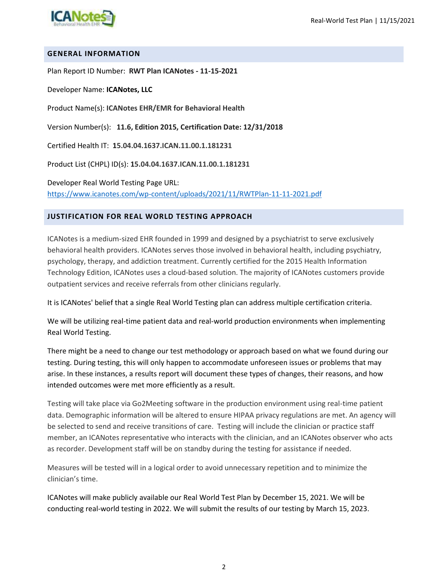

#### **GENERAL INFORMATION**

Plan Report ID Number: **RWT Plan ICANotes - 11-15-2021**

Developer Name: **ICANotes, LLC**

Product Name(s): **ICANotes EHR/EMR for Behavioral Health**

Version Number(s): **11.6, Edition 2015, Certification Date: 12/31/2018**

Certified Health IT: **15.04.04.1637.ICAN.11.00.1.181231** 

Product List (CHPL) ID(s): **15.04.04.1637.ICAN.11.00.1.181231**

Developer Real World Testing Page URL: <https://www.icanotes.com/wp-content/uploads/2021/11/RWTPlan-11-11-2021.pdf>

#### **JUSTIFICATION FOR REAL WORLD TESTING APPROACH**

ICANotes is a medium-sized EHR founded in 1999 and designed by a psychiatrist to serve exclusively behavioral health providers. ICANotes serves those involved in behavioral health, including psychiatry, psychology, therapy, and addiction treatment. Currently certified for the 2015 Health Information Technology Edition, ICANotes uses a cloud-based solution. The majority of ICANotes customers provide outpatient services and receive referrals from other clinicians regularly.

It is ICANotes' belief that a single Real World Testing plan can address multiple certification criteria.

We will be utilizing real-time patient data and real-world production environments when implementing Real World Testing.

There might be a need to change our test methodology or approach based on what we found during our testing. During testing, this will only happen to accommodate unforeseen issues or problems that may arise. In these instances, a results report will document these types of changes, their reasons, and how intended outcomes were met more efficiently as a result.

Testing will take place via Go2Meeting software in the production environment using real-time patient data. Demographic information will be altered to ensure HIPAA privacy regulations are met. An agency will be selected to send and receive transitions of care. Testing will include the clinician or practice staff member, an ICANotes representative who interacts with the clinician, and an ICANotes observer who acts as recorder. Development staff will be on standby during the testing for assistance if needed.

Measures will be tested will in a logical order to avoid unnecessary repetition and to minimize the clinician's time.

ICANotes will make publicly available our Real World Test Plan by December 15, 2021. We will be conducting real-world testing in 2022. We will submit the results of our testing by March 15, 2023.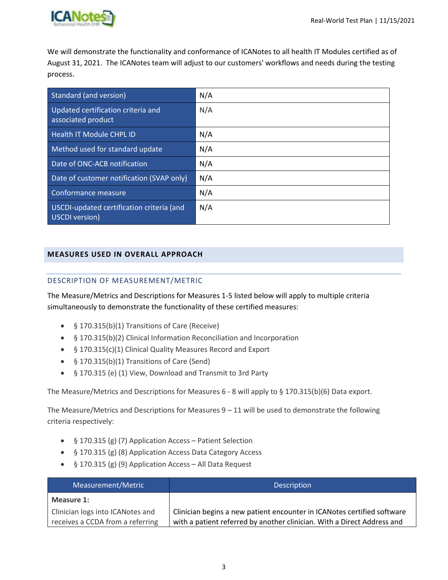

We will demonstrate the functionality and conformance of ICANotes to all health IT Modules certified as of August 31, 2021. The ICANotes team will adjust to our customers' workflows and needs during the testing process.

| Standard (and version)                                      | N/A |
|-------------------------------------------------------------|-----|
| Updated certification criteria and<br>associated product    | N/A |
| Health IT Module CHPL ID                                    | N/A |
| Method used for standard update                             | N/A |
| Date of ONC-ACB notification                                | N/A |
| Date of customer notification (SVAP only)                   | N/A |
| Conformance measure                                         | N/A |
| USCDI-updated certification criteria (and<br>USCDI version) | N/A |

#### **MEASURES USED IN OVERALL APPROACH**

#### DESCRIPTION OF MEASUREMENT/METRIC

The Measure/Metrics and Descriptions for Measures 1-5 listed below will apply to multiple criteria simultaneously to demonstrate the functionality of these certified measures:

- § 170.315(b)(1) Transitions of Care (Receive)
- § 170.315(b)(2) Clinical Information Reconciliation and Incorporation
- § 170.315(c)(1) Clinical Quality Measures Record and Export
- § 170.315(b)(1) Transitions of Care (Send)
- § 170.315 (e) (1) View, Download and Transmit to 3rd Party

The Measure/Metrics and Descriptions for Measures 6 - 8 will apply to § 170.315(b)(6) Data export.

The Measure/Metrics and Descriptions for Measures  $9 - 11$  will be used to demonstrate the following criteria respectively:

- § 170.315 (g) (7) Application Access Patient Selection
- § 170.315 (g) (8) Application Access Data Category Access
- § 170.315 (g) (9) Application Access All Data Request

| Measurement/Metric               | <b>Description</b>                                                      |
|----------------------------------|-------------------------------------------------------------------------|
| Measure 1:                       |                                                                         |
| Clinician logs into ICANotes and | Clinician begins a new patient encounter in ICANotes certified software |
| receives a CCDA from a referring | with a patient referred by another clinician. With a Direct Address and |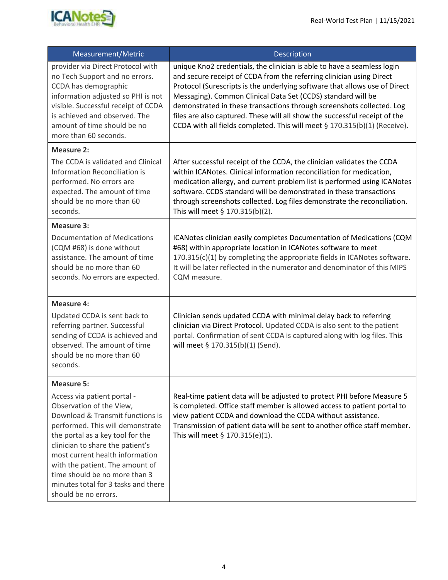

| Measurement/Metric                                                                                                                                                                                                                                                                                                                                                            | Description                                                                                                                                                                                                                                                                                                                                                                                                                                                                                                                       |
|-------------------------------------------------------------------------------------------------------------------------------------------------------------------------------------------------------------------------------------------------------------------------------------------------------------------------------------------------------------------------------|-----------------------------------------------------------------------------------------------------------------------------------------------------------------------------------------------------------------------------------------------------------------------------------------------------------------------------------------------------------------------------------------------------------------------------------------------------------------------------------------------------------------------------------|
| provider via Direct Protocol with<br>no Tech Support and no errors.<br>CCDA has demographic<br>information adjusted so PHI is not<br>visible. Successful receipt of CCDA<br>is achieved and observed. The<br>amount of time should be no<br>more than 60 seconds.                                                                                                             | unique Kno2 credentials, the clinician is able to have a seamless login<br>and secure receipt of CCDA from the referring clinician using Direct<br>Protocol (Surescripts is the underlying software that allows use of Direct<br>Messaging). Common Clinical Data Set (CCDS) standard will be<br>demonstrated in these transactions through screenshots collected. Log<br>files are also captured. These will all show the successful receipt of the<br>CCDA with all fields completed. This will meet § 170.315(b)(1) (Receive). |
| <b>Measure 2:</b>                                                                                                                                                                                                                                                                                                                                                             |                                                                                                                                                                                                                                                                                                                                                                                                                                                                                                                                   |
| The CCDA is validated and Clinical<br><b>Information Reconciliation is</b><br>performed. No errors are<br>expected. The amount of time<br>should be no more than 60<br>seconds.                                                                                                                                                                                               | After successful receipt of the CCDA, the clinician validates the CCDA<br>within ICANotes. Clinical information reconciliation for medication,<br>medication allergy, and current problem list is performed using ICANotes<br>software. CCDS standard will be demonstrated in these transactions<br>through screenshots collected. Log files demonstrate the reconciliation.<br>This will meet § 170.315(b)(2).                                                                                                                   |
| <b>Measure 3:</b>                                                                                                                                                                                                                                                                                                                                                             |                                                                                                                                                                                                                                                                                                                                                                                                                                                                                                                                   |
| Documentation of Medications<br>(CQM #68) is done without<br>assistance. The amount of time<br>should be no more than 60<br>seconds. No errors are expected.                                                                                                                                                                                                                  | ICANotes clinician easily completes Documentation of Medications (CQM<br>#68) within appropriate location in ICANotes software to meet<br>170.315(c)(1) by completing the appropriate fields in ICANotes software.<br>It will be later reflected in the numerator and denominator of this MIPS<br>CQM measure.                                                                                                                                                                                                                    |
| Measure 4:                                                                                                                                                                                                                                                                                                                                                                    |                                                                                                                                                                                                                                                                                                                                                                                                                                                                                                                                   |
| Updated CCDA is sent back to<br>referring partner. Successful<br>sending of CCDA is achieved and<br>observed. The amount of time<br>should be no more than 60<br>seconds.                                                                                                                                                                                                     | Clinician sends updated CCDA with minimal delay back to referring<br>clinician via Direct Protocol. Updated CCDA is also sent to the patient<br>portal. Confirmation of sent CCDA is captured along with log files. This<br>will meet § 170.315(b)(1) (Send).                                                                                                                                                                                                                                                                     |
| <b>Measure 5:</b>                                                                                                                                                                                                                                                                                                                                                             |                                                                                                                                                                                                                                                                                                                                                                                                                                                                                                                                   |
| Access via patient portal -<br>Observation of the View,<br>Download & Transmit functions is<br>performed. This will demonstrate<br>the portal as a key tool for the<br>clinician to share the patient's<br>most current health information<br>with the patient. The amount of<br>time should be no more than 3<br>minutes total for 3 tasks and there<br>should be no errors. | Real-time patient data will be adjusted to protect PHI before Measure 5<br>is completed. Office staff member is allowed access to patient portal to<br>view patient CCDA and download the CCDA without assistance.<br>Transmission of patient data will be sent to another office staff member.<br>This will meet $\S 170.315(e)(1)$ .                                                                                                                                                                                            |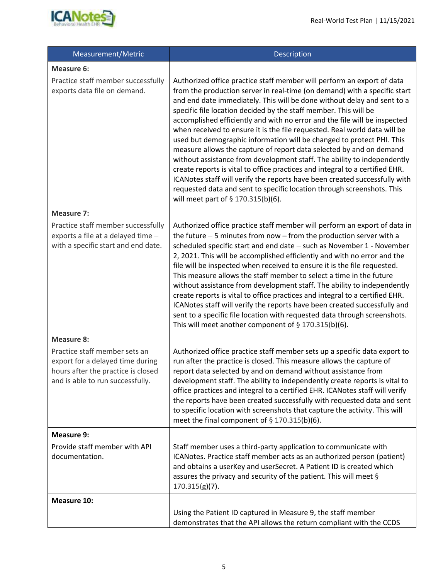

| Measurement/Metric                                                                                                                                               | Description                                                                                                                                                                                                                                                                                                                                                                                                                                                                                                                                                                                                                                                                                                                                                                                                                                                                                                                                                              |
|------------------------------------------------------------------------------------------------------------------------------------------------------------------|--------------------------------------------------------------------------------------------------------------------------------------------------------------------------------------------------------------------------------------------------------------------------------------------------------------------------------------------------------------------------------------------------------------------------------------------------------------------------------------------------------------------------------------------------------------------------------------------------------------------------------------------------------------------------------------------------------------------------------------------------------------------------------------------------------------------------------------------------------------------------------------------------------------------------------------------------------------------------|
| Measure 6:<br>Practice staff member successfully<br>exports data file on demand.                                                                                 | Authorized office practice staff member will perform an export of data<br>from the production server in real-time (on demand) with a specific start<br>and end date immediately. This will be done without delay and sent to a<br>specific file location decided by the staff member. This will be<br>accomplished efficiently and with no error and the file will be inspected<br>when received to ensure it is the file requested. Real world data will be<br>used but demographic information will be changed to protect PHI. This<br>measure allows the capture of report data selected by and on demand<br>without assistance from development staff. The ability to independently<br>create reports is vital to office practices and integral to a certified EHR.<br>ICANotes staff will verify the reports have been created successfully with<br>requested data and sent to specific location through screenshots. This<br>will meet part of $\S$ 170.315(b)(6). |
| <b>Measure 7:</b><br>Practice staff member successfully<br>exports a file at a delayed time -<br>with a specific start and end date.                             | Authorized office practice staff member will perform an export of data in<br>the future $-5$ minutes from now $-$ from the production server with a<br>scheduled specific start and end date - such as November 1 - November<br>2, 2021. This will be accomplished efficiently and with no error and the<br>file will be inspected when received to ensure it is the file requested.<br>This measure allows the staff member to select a time in the future<br>without assistance from development staff. The ability to independently<br>create reports is vital to office practices and integral to a certified EHR.<br>ICANotes staff will verify the reports have been created successfully and<br>sent to a specific file location with requested data through screenshots.<br>This will meet another component of $\S 170.315(b)(6)$ .                                                                                                                             |
| <b>Measure 8:</b><br>Practice staff member sets an<br>export for a delayed time during<br>hours after the practice is closed<br>and is able to run successfully. | Authorized office practice staff member sets up a specific data export to<br>run after the practice is closed. This measure allows the capture of<br>report data selected by and on demand without assistance from<br>development staff. The ability to independently create reports is vital to<br>office practices and integral to a certified EHR. ICANotes staff will verify<br>the reports have been created successfully with requested data and sent<br>to specific location with screenshots that capture the activity. This will<br>meet the final component of § 170.315(b)(6).                                                                                                                                                                                                                                                                                                                                                                                |
| Measure 9:<br>Provide staff member with API<br>documentation.                                                                                                    | Staff member uses a third-party application to communicate with<br>ICANotes. Practice staff member acts as an authorized person (patient)<br>and obtains a userKey and userSecret. A Patient ID is created which<br>assures the privacy and security of the patient. This will meet §<br>$170.315(g)(7)$ .                                                                                                                                                                                                                                                                                                                                                                                                                                                                                                                                                                                                                                                               |
| <b>Measure 10:</b>                                                                                                                                               | Using the Patient ID captured in Measure 9, the staff member<br>demonstrates that the API allows the return compliant with the CCDS                                                                                                                                                                                                                                                                                                                                                                                                                                                                                                                                                                                                                                                                                                                                                                                                                                      |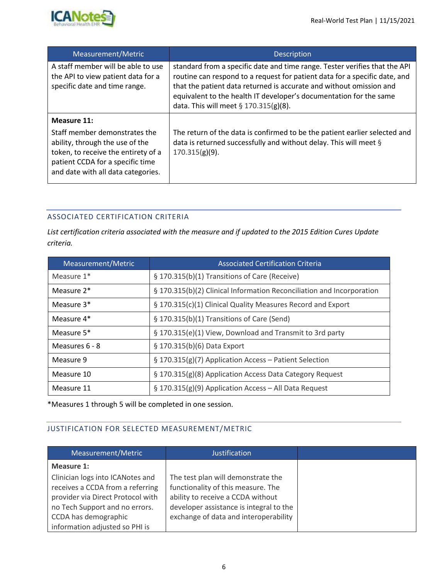

| Measurement/Metric                                                                                            | <b>Description</b>                                                                                                                                                                                                                                                                                                                                 |
|---------------------------------------------------------------------------------------------------------------|----------------------------------------------------------------------------------------------------------------------------------------------------------------------------------------------------------------------------------------------------------------------------------------------------------------------------------------------------|
| A staff member will be able to use<br>the API to view patient data for a<br>specific date and time range.     | standard from a specific date and time range. Tester verifies that the API<br>routine can respond to a request for patient data for a specific date, and<br>that the patient data returned is accurate and without omission and<br>equivalent to the health IT developer's documentation for the same<br>data. This will meet $\S 170.315(g)(8)$ . |
| Measure 11:<br>Staff member demonstrates the<br>ability, through the use of the                               | The return of the data is confirmed to be the patient earlier selected and<br>data is returned successfully and without delay. This will meet §                                                                                                                                                                                                    |
| token, to receive the entirety of a<br>patient CCDA for a specific time<br>and date with all data categories. | $170.315(g)(9)$ .                                                                                                                                                                                                                                                                                                                                  |

#### ASSOCIATED CERTIFICATION CRITERIA

*List certification criteria associated with the measure and if updated to the 2015 Edition Cures Update criteria.* 

| Measurement/Metric     | <b>Associated Certification Criteria</b>                              |
|------------------------|-----------------------------------------------------------------------|
| Measure $1*$           | § 170.315(b)(1) Transitions of Care (Receive)                         |
| Measure 2 <sup>*</sup> | § 170.315(b)(2) Clinical Information Reconciliation and Incorporation |
| Measure 3*             | § 170.315(c)(1) Clinical Quality Measures Record and Export           |
| Measure 4*             | § 170.315(b)(1) Transitions of Care (Send)                            |
| Measure 5*             | § 170.315(e)(1) View, Download and Transmit to 3rd party              |
| Measures 6 - 8         | § 170.315(b)(6) Data Export                                           |
| Measure 9              | § 170.315(g)(7) Application Access - Patient Selection                |
| Measure 10             | § 170.315(g)(8) Application Access Data Category Request              |
| Measure 11             | § 170.315(g)(9) Application Access - All Data Request                 |

\*Measures 1 through 5 will be completed in one session.

## JUSTIFICATION FOR SELECTED MEASUREMENT/METRIC

| Measurement/Metric                                                                                                                                                                                    | Justification                                                                                                                                                                                     |  |
|-------------------------------------------------------------------------------------------------------------------------------------------------------------------------------------------------------|---------------------------------------------------------------------------------------------------------------------------------------------------------------------------------------------------|--|
| <b>Measure 1:</b>                                                                                                                                                                                     |                                                                                                                                                                                                   |  |
| Clinician logs into ICANotes and<br>receives a CCDA from a referring<br>provider via Direct Protocol with<br>no Tech Support and no errors.<br>CCDA has demographic<br>information adjusted so PHI is | The test plan will demonstrate the<br>functionality of this measure. The<br>ability to receive a CCDA without<br>developer assistance is integral to the<br>exchange of data and interoperability |  |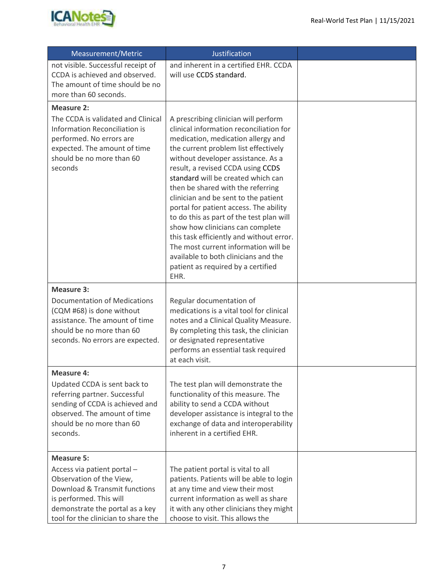

| Measurement/Metric                                                                                                                                                                                                 | <b>Justification</b>                                                                                                                                                                                                                                                                                                                                                                                                                                                                                                                                                                                                                                            |  |
|--------------------------------------------------------------------------------------------------------------------------------------------------------------------------------------------------------------------|-----------------------------------------------------------------------------------------------------------------------------------------------------------------------------------------------------------------------------------------------------------------------------------------------------------------------------------------------------------------------------------------------------------------------------------------------------------------------------------------------------------------------------------------------------------------------------------------------------------------------------------------------------------------|--|
| not visible. Successful receipt of<br>CCDA is achieved and observed.<br>The amount of time should be no<br>more than 60 seconds.                                                                                   | and inherent in a certified EHR. CCDA<br>will use CCDS standard.                                                                                                                                                                                                                                                                                                                                                                                                                                                                                                                                                                                                |  |
| <b>Measure 2:</b><br>The CCDA is validated and Clinical<br><b>Information Reconciliation is</b><br>performed. No errors are<br>expected. The amount of time<br>should be no more than 60<br>seconds                | A prescribing clinician will perform<br>clinical information reconciliation for<br>medication, medication allergy and<br>the current problem list effectively<br>without developer assistance. As a<br>result, a revised CCDA using CCDS<br>standard will be created which can<br>then be shared with the referring<br>clinician and be sent to the patient<br>portal for patient access. The ability<br>to do this as part of the test plan will<br>show how clinicians can complete<br>this task efficiently and without error.<br>The most current information will be<br>available to both clinicians and the<br>patient as required by a certified<br>EHR. |  |
| <b>Measure 3:</b><br><b>Documentation of Medications</b><br>(CQM #68) is done without<br>assistance. The amount of time<br>should be no more than 60<br>seconds. No errors are expected.                           | Regular documentation of<br>medications is a vital tool for clinical<br>notes and a Clinical Quality Measure.<br>By completing this task, the clinician<br>or designated representative<br>performs an essential task required<br>at each visit.                                                                                                                                                                                                                                                                                                                                                                                                                |  |
| <b>Measure 4:</b><br>Updated CCDA is sent back to<br>referring partner. Successful<br>sending of CCDA is achieved and<br>observed. The amount of time<br>should be no more than 60<br>seconds.                     | The test plan will demonstrate the<br>functionality of this measure. The<br>ability to send a CCDA without<br>developer assistance is integral to the<br>exchange of data and interoperability<br>inherent in a certified EHR.                                                                                                                                                                                                                                                                                                                                                                                                                                  |  |
| <b>Measure 5:</b><br>Access via patient portal -<br>Observation of the View,<br>Download & Transmit functions<br>is performed. This will<br>demonstrate the portal as a key<br>tool for the clinician to share the | The patient portal is vital to all<br>patients. Patients will be able to login<br>at any time and view their most<br>current information as well as share<br>it with any other clinicians they might<br>choose to visit. This allows the                                                                                                                                                                                                                                                                                                                                                                                                                        |  |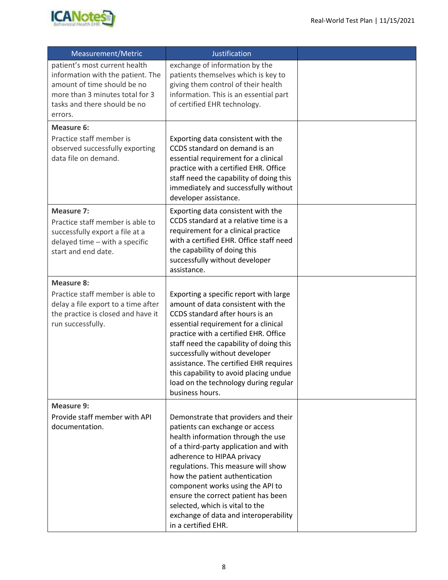

| Measurement/Metric                                                                                                                                                              | Justification                                                                                                                                                                                                                                                                                                                                                                                                                               |  |
|---------------------------------------------------------------------------------------------------------------------------------------------------------------------------------|---------------------------------------------------------------------------------------------------------------------------------------------------------------------------------------------------------------------------------------------------------------------------------------------------------------------------------------------------------------------------------------------------------------------------------------------|--|
| patient's most current health<br>information with the patient. The<br>amount of time should be no<br>more than 3 minutes total for 3<br>tasks and there should be no<br>errors. | exchange of information by the<br>patients themselves which is key to<br>giving them control of their health<br>information. This is an essential part<br>of certified EHR technology.                                                                                                                                                                                                                                                      |  |
| Measure 6:                                                                                                                                                                      |                                                                                                                                                                                                                                                                                                                                                                                                                                             |  |
| Practice staff member is<br>observed successfully exporting<br>data file on demand.                                                                                             | Exporting data consistent with the<br>CCDS standard on demand is an<br>essential requirement for a clinical<br>practice with a certified EHR. Office<br>staff need the capability of doing this<br>immediately and successfully without<br>developer assistance.                                                                                                                                                                            |  |
| <b>Measure 7:</b><br>Practice staff member is able to<br>successfully export a file at a<br>delayed time - with a specific<br>start and end date.                               | Exporting data consistent with the<br>CCDS standard at a relative time is a<br>requirement for a clinical practice<br>with a certified EHR. Office staff need<br>the capability of doing this<br>successfully without developer<br>assistance.                                                                                                                                                                                              |  |
| <b>Measure 8:</b>                                                                                                                                                               |                                                                                                                                                                                                                                                                                                                                                                                                                                             |  |
| Practice staff member is able to<br>delay a file export to a time after<br>the practice is closed and have it<br>run successfully.                                              | Exporting a specific report with large<br>amount of data consistent with the<br>CCDS standard after hours is an<br>essential requirement for a clinical<br>practice with a certified EHR. Office<br>staff need the capability of doing this<br>successfully without developer<br>assistance. The certified EHR requires<br>this capability to avoid placing undue<br>load on the technology during regular<br>business hours.               |  |
| <b>Measure 9:</b>                                                                                                                                                               |                                                                                                                                                                                                                                                                                                                                                                                                                                             |  |
| Provide staff member with API<br>documentation.                                                                                                                                 | Demonstrate that providers and their<br>patients can exchange or access<br>health information through the use<br>of a third-party application and with<br>adherence to HIPAA privacy<br>regulations. This measure will show<br>how the patient authentication<br>component works using the API to<br>ensure the correct patient has been<br>selected, which is vital to the<br>exchange of data and interoperability<br>in a certified EHR. |  |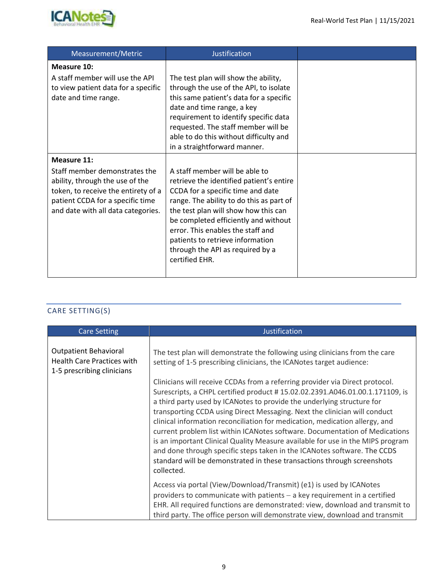

| Measurement/Metric                                                                                                                                                                                      | <b>Justification</b>                                                                                                                                                                                                                                                                                                                                                       |  |
|---------------------------------------------------------------------------------------------------------------------------------------------------------------------------------------------------------|----------------------------------------------------------------------------------------------------------------------------------------------------------------------------------------------------------------------------------------------------------------------------------------------------------------------------------------------------------------------------|--|
| Measure 10:<br>A staff member will use the API<br>to view patient data for a specific<br>date and time range.                                                                                           | The test plan will show the ability,<br>through the use of the API, to isolate<br>this same patient's data for a specific<br>date and time range, a key<br>requirement to identify specific data<br>requested. The staff member will be<br>able to do this without difficulty and<br>in a straightforward manner.                                                          |  |
| <b>Measure 11:</b><br>Staff member demonstrates the<br>ability, through the use of the<br>token, to receive the entirety of a<br>patient CCDA for a specific time<br>and date with all data categories. | A staff member will be able to<br>retrieve the identified patient's entire<br>CCDA for a specific time and date<br>range. The ability to do this as part of<br>the test plan will show how this can<br>be completed efficiently and without<br>error. This enables the staff and<br>patients to retrieve information<br>through the API as required by a<br>certified EHR. |  |

## CARE SETTING(S)

| <b>Care Setting</b>                                                                             | <b>Justification</b>                                                                                                                                                                                                                                                                                                                                                                                                                                                                                                                                                                                                                                                                                                                     |
|-------------------------------------------------------------------------------------------------|------------------------------------------------------------------------------------------------------------------------------------------------------------------------------------------------------------------------------------------------------------------------------------------------------------------------------------------------------------------------------------------------------------------------------------------------------------------------------------------------------------------------------------------------------------------------------------------------------------------------------------------------------------------------------------------------------------------------------------------|
| <b>Outpatient Behavioral</b><br><b>Health Care Practices with</b><br>1-5 prescribing clinicians | The test plan will demonstrate the following using clinicians from the care<br>setting of 1-5 prescribing clinicians, the ICANotes target audience:                                                                                                                                                                                                                                                                                                                                                                                                                                                                                                                                                                                      |
|                                                                                                 | Clinicians will receive CCDAs from a referring provider via Direct protocol.<br>Surescripts, a CHPL certified product #15.02.02.2391.A046.01.00.1.171109, is<br>a third party used by ICANotes to provide the underlying structure for<br>transporting CCDA using Direct Messaging. Next the clinician will conduct<br>clinical information reconciliation for medication, medication allergy, and<br>current problem list within ICANotes software. Documentation of Medications<br>is an important Clinical Quality Measure available for use in the MIPS program<br>and done through specific steps taken in the ICANotes software. The CCDS<br>standard will be demonstrated in these transactions through screenshots<br>collected. |
|                                                                                                 | Access via portal (View/Download/Transmit) (e1) is used by ICANotes<br>providers to communicate with patients $-$ a key requirement in a certified<br>EHR. All required functions are demonstrated: view, download and transmit to<br>third party. The office person will demonstrate view, download and transmit                                                                                                                                                                                                                                                                                                                                                                                                                        |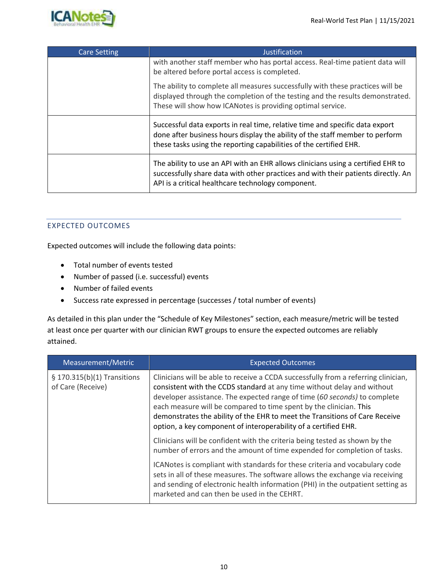

| <b>Care Setting</b> | Justification                                                                                                                                                                                                                      |
|---------------------|------------------------------------------------------------------------------------------------------------------------------------------------------------------------------------------------------------------------------------|
|                     | with another staff member who has portal access. Real-time patient data will<br>be altered before portal access is completed.                                                                                                      |
|                     | The ability to complete all measures successfully with these practices will be<br>displayed through the completion of the testing and the results demonstrated.<br>These will show how ICANotes is providing optimal service.      |
|                     | Successful data exports in real time, relative time and specific data export<br>done after business hours display the ability of the staff member to perform<br>these tasks using the reporting capabilities of the certified EHR. |
|                     | The ability to use an API with an EHR allows clinicians using a certified EHR to<br>successfully share data with other practices and with their patients directly. An<br>API is a critical healthcare technology component.        |

#### EXPECTED OUTCOMES

Expected outcomes will include the following data points:

- Total number of events tested
- Number of passed (i.e. successful) events
- Number of failed events
- Success rate expressed in percentage (successes / total number of events)

As detailed in this plan under the "Schedule of Key Milestones" section, each measure/metric will be tested at least once per quarter with our clinician RWT groups to ensure the expected outcomes are reliably attained.

| Measurement/Metric                               | <b>Expected Outcomes</b>                                                                                                                                                                                                                                                                                                                                                                                                                                           |
|--------------------------------------------------|--------------------------------------------------------------------------------------------------------------------------------------------------------------------------------------------------------------------------------------------------------------------------------------------------------------------------------------------------------------------------------------------------------------------------------------------------------------------|
| § 170.315(b)(1) Transitions<br>of Care (Receive) | Clinicians will be able to receive a CCDA successfully from a referring clinician,<br>consistent with the CCDS standard at any time without delay and without<br>developer assistance. The expected range of time (60 seconds) to complete<br>each measure will be compared to time spent by the clinician. This<br>demonstrates the ability of the EHR to meet the Transitions of Care Receive<br>option, a key component of interoperability of a certified EHR. |
|                                                  | Clinicians will be confident with the criteria being tested as shown by the<br>number of errors and the amount of time expended for completion of tasks.                                                                                                                                                                                                                                                                                                           |
|                                                  | ICANotes is compliant with standards for these criteria and vocabulary code<br>sets in all of these measures. The software allows the exchange via receiving<br>and sending of electronic health information (PHI) in the outpatient setting as<br>marketed and can then be used in the CEHRT.                                                                                                                                                                     |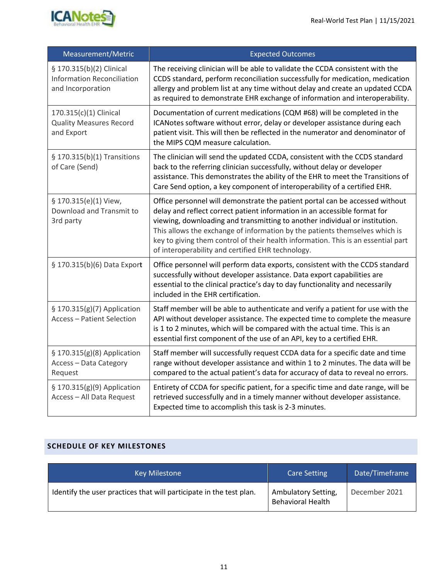

| Measurement/Metric                                                                 | <b>Expected Outcomes</b>                                                                                                                                                                                                                                                                                                                                                                                                                                          |
|------------------------------------------------------------------------------------|-------------------------------------------------------------------------------------------------------------------------------------------------------------------------------------------------------------------------------------------------------------------------------------------------------------------------------------------------------------------------------------------------------------------------------------------------------------------|
| § 170.315(b)(2) Clinical<br><b>Information Reconciliation</b><br>and Incorporation | The receiving clinician will be able to validate the CCDA consistent with the<br>CCDS standard, perform reconciliation successfully for medication, medication<br>allergy and problem list at any time without delay and create an updated CCDA<br>as required to demonstrate EHR exchange of information and interoperability.                                                                                                                                   |
| 170.315(c)(1) Clinical<br><b>Quality Measures Record</b><br>and Export             | Documentation of current medications (CQM #68) will be completed in the<br>ICANotes software without error, delay or developer assistance during each<br>patient visit. This will then be reflected in the numerator and denominator of<br>the MIPS CQM measure calculation.                                                                                                                                                                                      |
| § 170.315(b)(1) Transitions<br>of Care (Send)                                      | The clinician will send the updated CCDA, consistent with the CCDS standard<br>back to the referring clinician successfully, without delay or developer<br>assistance. This demonstrates the ability of the EHR to meet the Transitions of<br>Care Send option, a key component of interoperability of a certified EHR.                                                                                                                                           |
| § 170.315(e)(1) View,<br>Download and Transmit to<br>3rd party                     | Office personnel will demonstrate the patient portal can be accessed without<br>delay and reflect correct patient information in an accessible format for<br>viewing, downloading and transmitting to another individual or institution.<br>This allows the exchange of information by the patients themselves which is<br>key to giving them control of their health information. This is an essential part<br>of interoperability and certified EHR technology. |
| § 170.315(b)(6) Data Export                                                        | Office personnel will perform data exports, consistent with the CCDS standard<br>successfully without developer assistance. Data export capabilities are<br>essential to the clinical practice's day to day functionality and necessarily<br>included in the EHR certification.                                                                                                                                                                                   |
| § 170.315(g)(7) Application<br><b>Access - Patient Selection</b>                   | Staff member will be able to authenticate and verify a patient for use with the<br>API without developer assistance. The expected time to complete the measure<br>is 1 to 2 minutes, which will be compared with the actual time. This is an<br>essential first component of the use of an API, key to a certified EHR.                                                                                                                                           |
| § 170.315(g)(8) Application<br><b>Access - Data Category</b><br>Request            | Staff member will successfully request CCDA data for a specific date and time<br>range without developer assistance and within 1 to 2 minutes. The data will be<br>compared to the actual patient's data for accuracy of data to reveal no errors.                                                                                                                                                                                                                |
| § 170.315(g)(9) Application<br>Access - All Data Request                           | Entirety of CCDA for specific patient, for a specific time and date range, will be<br>retrieved successfully and in a timely manner without developer assistance.<br>Expected time to accomplish this task is 2-3 minutes.                                                                                                                                                                                                                                        |

#### **SCHEDULE OF KEY MILESTONES**

| <b>Key Milestone</b>                                                | <b>Care Setting</b>                             | Date/Timeframe |
|---------------------------------------------------------------------|-------------------------------------------------|----------------|
| Identify the user practices that will participate in the test plan. | Ambulatory Setting,<br><b>Behavioral Health</b> | December 2021  |